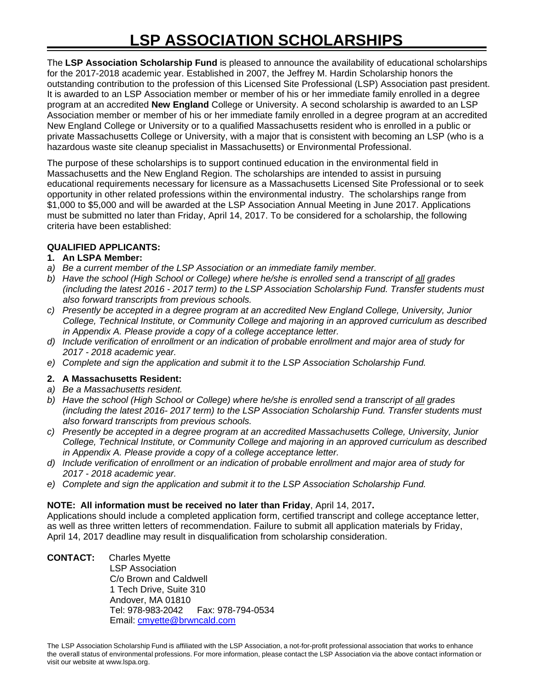The **LSP Association Scholarship Fund** is pleased to announce the availability of educational scholarships for the 2017-2018 academic year. Established in 2007, the Jeffrey M. Hardin Scholarship honors the outstanding contribution to the profession of this Licensed Site Professional (LSP) Association past president. It is awarded to an LSP Association member or member of his or her immediate family enrolled in a degree program at an accredited **New England** College or University. A second scholarship is awarded to an LSP Association member or member of his or her immediate family enrolled in a degree program at an accredited New England College or University or to a qualified Massachusetts resident who is enrolled in a public or private Massachusetts College or University, with a major that is consistent with becoming an LSP (who is a hazardous waste site cleanup specialist in Massachusetts) or Environmental Professional.

The purpose of these scholarships is to support continued education in the environmental field in Massachusetts and the New England Region. The scholarships are intended to assist in pursuing educational requirements necessary for licensure as a Massachusetts Licensed Site Professional or to seek opportunity in other related professions within the environmental industry. The scholarships range from \$1,000 to \$5,000 and will be awarded at the LSP Association Annual Meeting in June 2017. Applications must be submitted no later than Friday, April 14, 2017. To be considered for a scholarship, the following criteria have been established:

# **QUALIFIED APPLICANTS:**

## **1. An LSPA Member:**

- *a) Be a current member of the LSP Association or an immediate family member.*
- *b) Have the school (High School or College) where he/she is enrolled send a transcript of all grades (including the latest 2016 - 2017 term) to the LSP Association Scholarship Fund. Transfer students must also forward transcripts from previous schools.*
- *c) Presently be accepted in a degree program at an accredited New England College, University, Junior College, Technical Institute, or Community College and majoring in an approved curriculum as described in Appendix A. Please provide a copy of a college acceptance letter.*
- *d) Include verification of enrollment or an indication of probable enrollment and major area of study for 2017 - 2018 academic year.*
- *e) Complete and sign the application and submit it to the LSP Association Scholarship Fund.*

# **2. A Massachusetts Resident:**

- *a) Be a Massachusetts resident.*
- *b) Have the school (High School or College) where he/she is enrolled send a transcript of all grades (including the latest 2016- 2017 term) to the LSP Association Scholarship Fund. Transfer students must also forward transcripts from previous schools.*
- *c) Presently be accepted in a degree program at an accredited Massachusetts College, University, Junior College, Technical Institute, or Community College and majoring in an approved curriculum as described in Appendix A. Please provide a copy of a college acceptance letter.*
- *d) Include verification of enrollment or an indication of probable enrollment and major area of study for 2017 - 2018 academic year.*
- *e) Complete and sign the application and submit it to the LSP Association Scholarship Fund.*

## **NOTE: All information must be received no later than Friday**, April 14, 2017**.**

Applications should include a completed application form, certified transcript and college acceptance letter, as well as three written letters of recommendation. Failure to submit all application materials by Friday, April 14, 2017 deadline may result in disqualification from scholarship consideration.

**CONTACT:** Charles Myette LSP Association C/o Brown and Caldwell 1 Tech Drive, Suite 310 Andover, MA 01810 Tel: 978-983-2042 Fax: 978-794-0534 Email: [cmyette@brwncald.com](mailto:cmyette@brwncald.com)